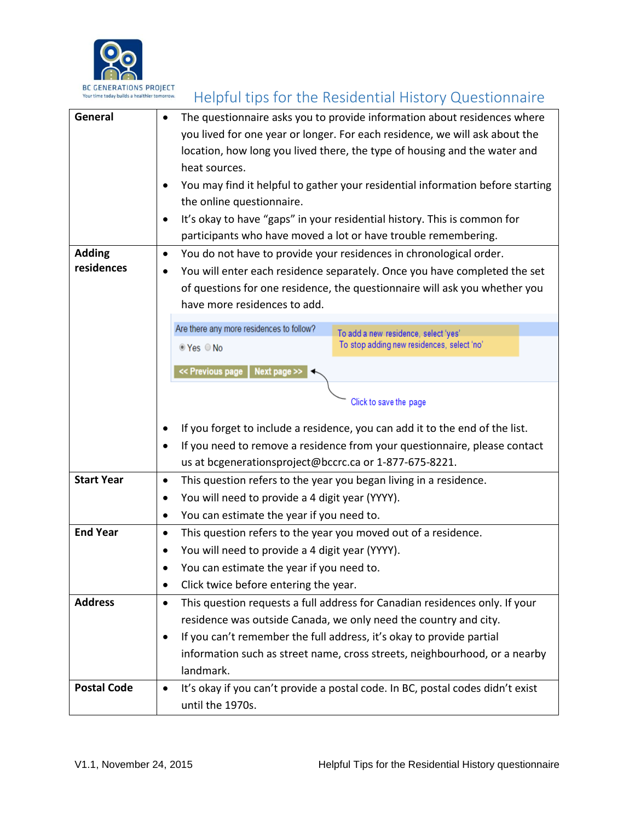

| <b>BL GENERATIONS PROJECT</b><br>Your time today builds a healthier tomorrow. | Helpful tips for the Residential History Questionnaire                                      |
|-------------------------------------------------------------------------------|---------------------------------------------------------------------------------------------|
| General                                                                       | The questionnaire asks you to provide information about residences where<br>$\bullet$       |
|                                                                               | you lived for one year or longer. For each residence, we will ask about the                 |
|                                                                               | location, how long you lived there, the type of housing and the water and                   |
|                                                                               | heat sources.                                                                               |
|                                                                               | You may find it helpful to gather your residential information before starting<br>$\bullet$ |
|                                                                               | the online questionnaire.                                                                   |
|                                                                               | It's okay to have "gaps" in your residential history. This is common for<br>$\bullet$       |
|                                                                               | participants who have moved a lot or have trouble remembering.                              |
| <b>Adding</b>                                                                 | You do not have to provide your residences in chronological order.<br>$\bullet$             |
| residences                                                                    | You will enter each residence separately. Once you have completed the set<br>$\bullet$      |
|                                                                               | of questions for one residence, the questionnaire will ask you whether you                  |
|                                                                               | have more residences to add.                                                                |
|                                                                               | Are there any more residences to follow?<br>To add a new residence, select 'yes'            |
|                                                                               | To stop adding new residences, select 'no'<br>© Yes © No                                    |
|                                                                               |                                                                                             |
|                                                                               | << Previous page<br>Next page >>                                                            |
|                                                                               | Click to save the page                                                                      |
|                                                                               |                                                                                             |
|                                                                               | If you forget to include a residence, you can add it to the end of the list.<br>$\bullet$   |
|                                                                               | If you need to remove a residence from your questionnaire, please contact<br>$\bullet$      |
|                                                                               | us at bcgenerationsproject@bccrc.ca or 1-877-675-8221.                                      |
| <b>Start Year</b>                                                             | This question refers to the year you began living in a residence.<br>$\bullet$              |
|                                                                               | You will need to provide a 4 digit year (YYYY).<br>٠                                        |
|                                                                               | You can estimate the year if you need to.<br>٠                                              |
| <b>End Year</b>                                                               | This question refers to the year you moved out of a residence.<br>$\bullet$                 |
|                                                                               | You will need to provide a 4 digit year (YYYY).<br>٠                                        |
|                                                                               | You can estimate the year if you need to.<br>$\bullet$                                      |
|                                                                               | Click twice before entering the year.<br>٠                                                  |
| <b>Address</b>                                                                | This question requests a full address for Canadian residences only. If your<br>$\bullet$    |
|                                                                               | residence was outside Canada, we only need the country and city.                            |
|                                                                               | If you can't remember the full address, it's okay to provide partial<br>$\bullet$           |
|                                                                               | information such as street name, cross streets, neighbourhood, or a nearby                  |
|                                                                               | landmark.                                                                                   |
| <b>Postal Code</b>                                                            | It's okay if you can't provide a postal code. In BC, postal codes didn't exist<br>$\bullet$ |
|                                                                               | until the 1970s.                                                                            |